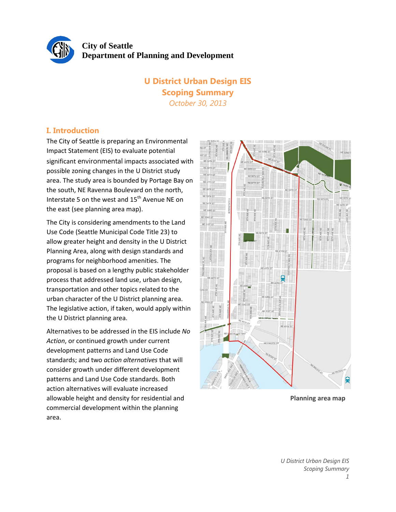

# **U District Urban Design EIS Scoping Summary** *October 30, 2013*

# **I. Introduction**

The City of Seattle is preparing an Environmental Impact Statement (EIS) to evaluate potential significant environmental impacts associated with possible zoning changes in the U District study area. The study area is bounded by Portage Bay on the south, NE Ravenna Boulevard on the north, Interstate 5 on the west and 15<sup>th</sup> Avenue NE on the east (see planning area map).

The City is considering amendments to the Land Use Code (Seattle Municipal Code Title 23) to allow greater height and density in the U District Planning Area, along with design standards and programs for neighborhood amenities. The proposal is based on a lengthy public stakeholder process that addressed land use, urban design, transportation and other topics related to the urban character of the U District planning area. The legislative action, if taken, would apply within the U District planning area.

Alternatives to be addressed in the EIS include *No Action*, or continued growth under current development patterns and Land Use Code standards; and two *action alternatives* that will consider growth under different development patterns and Land Use Code standards. Both action alternatives will evaluate increased allowable height and density for residential and commercial development within the planning area.



**Planning area map**

*U District Urban Design EIS Scoping Summary 1*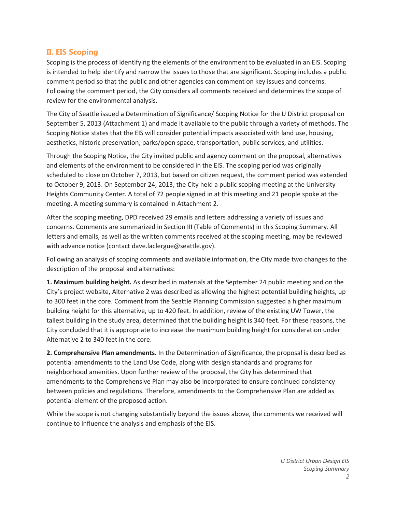# **II. EIS Scoping**

Scoping is the process of identifying the elements of the environment to be evaluated in an EIS. Scoping is intended to help identify and narrow the issues to those that are significant. Scoping includes a public comment period so that the public and other agencies can comment on key issues and concerns. Following the comment period, the City considers all comments received and determines the scope of review for the environmental analysis.

The City of Seattle issued a Determination of Significance/ Scoping Notice for the U District proposal on September 5, 2013 (Attachment 1) and made it available to the public through a variety of methods. The Scoping Notice states that the EIS will consider potential impacts associated with land use, housing, aesthetics, historic preservation, parks/open space, transportation, public services, and utilities.

Through the Scoping Notice, the City invited public and agency comment on the proposal, alternatives and elements of the environment to be considered in the EIS. The scoping period was originally scheduled to close on October 7, 2013, but based on citizen request, the comment period was extended to October 9, 2013. On September 24, 2013, the City held a public scoping meeting at the University Heights Community Center. A total of 72 people signed in at this meeting and 21 people spoke at the meeting. A meeting summary is contained in Attachment 2.

After the scoping meeting, DPD received 29 emails and letters addressing a variety of issues and concerns. Comments are summarized in Section III (Table of Comments) in this Scoping Summary. All letters and emails, as well as the written comments received at the scoping meeting, may be reviewed with advance notice (contact dave.laclergue@seattle.gov).

Following an analysis of scoping comments and available information, the City made two changes to the description of the proposal and alternatives:

**1. Maximum building height.** As described in materials at the September 24 public meeting and on the City's project website, Alternative 2 was described as allowing the highest potential building heights, up to 300 feet in the core. Comment from the Seattle Planning Commission suggested a higher maximum building height for this alternative, up to 420 feet. In addition, review of the existing UW Tower, the tallest building in the study area, determined that the building height is 340 feet. For these reasons, the City concluded that it is appropriate to increase the maximum building height for consideration under Alternative 2 to 340 feet in the core.

**2. Comprehensive Plan amendments.** In the Determination of Significance, the proposal is described as potential amendments to the Land Use Code, along with design standards and programs for neighborhood amenities. Upon further review of the proposal, the City has determined that amendments to the Comprehensive Plan may also be incorporated to ensure continued consistency between policies and regulations. Therefore, amendments to the Comprehensive Plan are added as potential element of the proposed action.

While the scope is not changing substantially beyond the issues above, the comments we received will continue to influence the analysis and emphasis of the EIS.

> *U District Urban Design EIS Scoping Summary 2*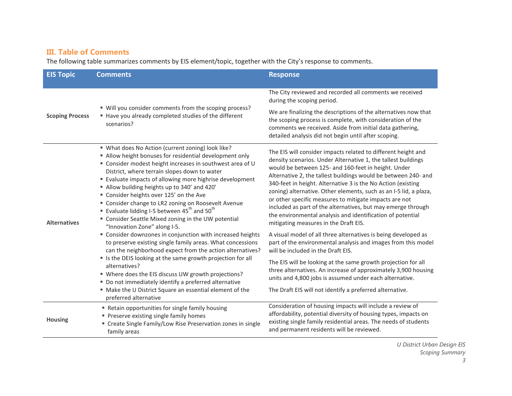# **III. Table of Comments**

The following table summarizes comments by EIS element/topic, together with the City's response to comments.

| <b>EIS Topic</b>       | <b>Comments</b>                                                                                                                                                                                                                                                                                                                                                                                                                                                                                                                                                                                                                                                                                                                                                                                                                                                                                                                                                                                                                                                                    | <b>Response</b>                                                                                                                                                                                                                                                                                                                                                                                                                                                                                                                                                                                                                                                                                                                                                                                                                                                                                                                                                                                                                                                  |
|------------------------|------------------------------------------------------------------------------------------------------------------------------------------------------------------------------------------------------------------------------------------------------------------------------------------------------------------------------------------------------------------------------------------------------------------------------------------------------------------------------------------------------------------------------------------------------------------------------------------------------------------------------------------------------------------------------------------------------------------------------------------------------------------------------------------------------------------------------------------------------------------------------------------------------------------------------------------------------------------------------------------------------------------------------------------------------------------------------------|------------------------------------------------------------------------------------------------------------------------------------------------------------------------------------------------------------------------------------------------------------------------------------------------------------------------------------------------------------------------------------------------------------------------------------------------------------------------------------------------------------------------------------------------------------------------------------------------------------------------------------------------------------------------------------------------------------------------------------------------------------------------------------------------------------------------------------------------------------------------------------------------------------------------------------------------------------------------------------------------------------------------------------------------------------------|
|                        |                                                                                                                                                                                                                                                                                                                                                                                                                                                                                                                                                                                                                                                                                                                                                                                                                                                                                                                                                                                                                                                                                    |                                                                                                                                                                                                                                                                                                                                                                                                                                                                                                                                                                                                                                                                                                                                                                                                                                                                                                                                                                                                                                                                  |
| <b>Scoping Process</b> | " Will you consider comments from the scoping process?<br>Have you already completed studies of the different<br>scenarios?                                                                                                                                                                                                                                                                                                                                                                                                                                                                                                                                                                                                                                                                                                                                                                                                                                                                                                                                                        | The City reviewed and recorded all comments we received<br>during the scoping period.                                                                                                                                                                                                                                                                                                                                                                                                                                                                                                                                                                                                                                                                                                                                                                                                                                                                                                                                                                            |
|                        |                                                                                                                                                                                                                                                                                                                                                                                                                                                                                                                                                                                                                                                                                                                                                                                                                                                                                                                                                                                                                                                                                    | We are finalizing the descriptions of the alternatives now that<br>the scoping process is complete, with consideration of the<br>comments we received. Aside from initial data gathering,<br>detailed analysis did not begin until after scoping.                                                                                                                                                                                                                                                                                                                                                                                                                                                                                                                                                                                                                                                                                                                                                                                                                |
| <b>Alternatives</b>    | " What does No Action (current zoning) look like?<br>" Allow height bonuses for residential development only<br>" Consider modest height increases in southwest area of U<br>District, where terrain slopes down to water<br>" Evaluate impacts of allowing more highrise development<br>" Allow building heights up to 340' and 420'<br>" Consider heights over 125' on the Ave<br>" Consider change to LR2 zoning on Roosevelt Avenue<br>Evaluate lidding I-5 between $45^{\text{th}}$ and $50^{\text{th}}$<br>" Consider Seattle Mixed zoning in the UW potential<br>"Innovation Zone" along I-5.<br>" Consider downzones in conjunction with increased heights<br>to preserve existing single family areas. What concessions<br>can the neighborhood expect from the action alternatives?<br>" Is the DEIS looking at the same growth projection for all<br>alternatives?<br>" Where does the EIS discuss UW growth projections?<br>" Do not immediately identify a preferred alternative<br>" Make the U District Square an essential element of the<br>preferred alternative | The EIS will consider impacts related to different height and<br>density scenarios. Under Alternative 1, the tallest buildings<br>would be between 125- and 160-feet in height. Under<br>Alternative 2, the tallest buildings would be between 240- and<br>340-feet in height. Alternative 3 is the No Action (existing<br>zoning) alternative. Other elements, such as an I-5 lid, a plaza,<br>or other specific measures to mitigate impacts are not<br>included as part of the alternatives, but may emerge through<br>the environmental analysis and identification of potential<br>mitigating measures in the Draft EIS.<br>A visual model of all three alternatives is being developed as<br>part of the environmental analysis and images from this model<br>will be included in the Draft EIS.<br>The EIS will be looking at the same growth projection for all<br>three alternatives. An increase of approximately 3,900 housing<br>units and 4,800 jobs is assumed under each alternative.<br>The Draft EIS will not identify a preferred alternative. |
| <b>Housing</b>         | " Retain opportunities for single family housing<br>Preserve existing single family homes<br>" Create Single Family/Low Rise Preservation zones in single<br>family areas                                                                                                                                                                                                                                                                                                                                                                                                                                                                                                                                                                                                                                                                                                                                                                                                                                                                                                          | Consideration of housing impacts will include a review of<br>affordability, potential diversity of housing types, impacts on<br>existing single family residential areas. The needs of students<br>and permanent residents will be reviewed.                                                                                                                                                                                                                                                                                                                                                                                                                                                                                                                                                                                                                                                                                                                                                                                                                     |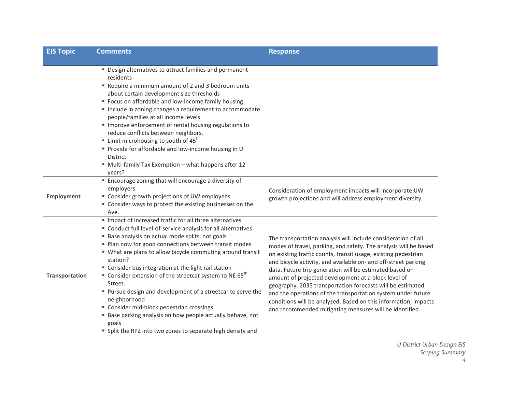| <b>EIS Topic</b>      | <b>Comments</b>                                                                                                                                                                                                                                                                                                                                                                                                                                                                                                                                                                                                                                                                                                            | <b>Response</b>                                                                                                                                                                                                                                                                                                                                                                                                                                                                                                                                                                                                                                     |  |
|-----------------------|----------------------------------------------------------------------------------------------------------------------------------------------------------------------------------------------------------------------------------------------------------------------------------------------------------------------------------------------------------------------------------------------------------------------------------------------------------------------------------------------------------------------------------------------------------------------------------------------------------------------------------------------------------------------------------------------------------------------------|-----------------------------------------------------------------------------------------------------------------------------------------------------------------------------------------------------------------------------------------------------------------------------------------------------------------------------------------------------------------------------------------------------------------------------------------------------------------------------------------------------------------------------------------------------------------------------------------------------------------------------------------------------|--|
|                       |                                                                                                                                                                                                                                                                                                                                                                                                                                                                                                                                                                                                                                                                                                                            |                                                                                                                                                                                                                                                                                                                                                                                                                                                                                                                                                                                                                                                     |  |
|                       | " Design alternatives to attract families and permanent<br>residents<br>" Require a minimum amount of 2 and 3 bedroom units<br>about certain development size thresholds<br>" Focus on affordable and low-income family housing<br>" Include in zoning changes a requirement to accommodate<br>people/families at all income levels<br>" Improve enforcement of rental housing regulations to<br>reduce conflicts between neighbors.<br><b>Example 1</b> Limit microhousing to south of $45^{\text{th}}$<br>" Provide for affordable and low-income housing in U<br><b>District</b><br>" Multi-family Tax Exemption - what happens after 12<br>years?                                                                      |                                                                                                                                                                                                                                                                                                                                                                                                                                                                                                                                                                                                                                                     |  |
| <b>Employment</b>     | " Encourage zoning that will encourage a diversity of<br>employers<br>" Consider growth projections of UW employees<br>" Consider ways to protect the existing businesses on the<br>Ave.                                                                                                                                                                                                                                                                                                                                                                                                                                                                                                                                   | Consideration of employment impacts will incorporate UW<br>growth projections and will address employment diversity.                                                                                                                                                                                                                                                                                                                                                                                                                                                                                                                                |  |
| <b>Transportation</b> | Impact of increased traffic for all three alternatives<br>" Conduct full level-of-service analysis for all alternatives<br>" Base analysis on actual mode splits, not goals<br>• Plan now for good connections between transit modes<br>" What are plans to allow bicycle commuting around transit<br>station?<br>" Consider bus integration at the light rail station<br>" Consider extension of the streetcar system to NE 65 <sup>th</sup><br>Street.<br>" Pursue design and development of a streetcar to serve the<br>neighborhood<br>" Consider mid-block pedestrian crossings<br>" Base parking analysis on how people actually behave, not<br>goals<br>" Split the RPZ into two zones to separate high density and | The transportation analysis will include consideration of all<br>modes of travel, parking, and safety. The analysis will be based<br>on existing traffic counts, transit usage, existing pedestrian<br>and bicycle activity, and available on- and off-street parking<br>data. Future trip generation will be estimated based on<br>amount of projected development at a block level of<br>geography. 2035 transportation forecasts will be estimated<br>and the operations of the transportation system under future<br>conditions will be analyzed. Based on this information, impacts<br>and recommended mitigating measures will be identified. |  |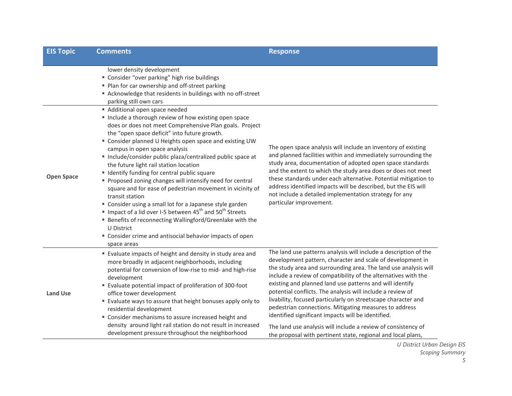| <b>EIS Topic</b>  | <b>Comments</b>                                                                                                                                                                                                                                                                                                                                                                                                                                                                                                                                                                                                                                                                                                                                                                                                                                                                                                                                                                                                                                                                                                                  | <b>Response</b>                                                                                                                                                                                                                                                                                                                                                                                                                                                                                                                                                                                                                                                                                                 |
|-------------------|----------------------------------------------------------------------------------------------------------------------------------------------------------------------------------------------------------------------------------------------------------------------------------------------------------------------------------------------------------------------------------------------------------------------------------------------------------------------------------------------------------------------------------------------------------------------------------------------------------------------------------------------------------------------------------------------------------------------------------------------------------------------------------------------------------------------------------------------------------------------------------------------------------------------------------------------------------------------------------------------------------------------------------------------------------------------------------------------------------------------------------|-----------------------------------------------------------------------------------------------------------------------------------------------------------------------------------------------------------------------------------------------------------------------------------------------------------------------------------------------------------------------------------------------------------------------------------------------------------------------------------------------------------------------------------------------------------------------------------------------------------------------------------------------------------------------------------------------------------------|
| <b>Open Space</b> | lower density development<br>" Consider "over parking" high rise buildings<br>" Plan for car ownership and off-street parking<br>Acknowledge that residents in buildings with no off-street<br>parking still own cars<br>Additional open space needed<br>" Include a thorough review of how existing open space<br>does or does not meet Comprehensive Plan goals. Project<br>the "open space deficit" into future growth.<br>" Consider planned U Heights open space and existing UW<br>campus in open space analysis<br>■ Include/consider public plaza/centralized public space at<br>the future light rail station location<br>" Identify funding for central public square<br>" Proposed zoning changes will intensify need for central<br>square and for ease of pedestrian movement in vicinity of<br>transit station<br>" Consider using a small lot for a Japanese style garden<br>Impact of a lid over I-5 between $45^{\text{th}}$ and $50^{\text{th}}$ Streets<br>" Benefits of reconnecting Wallingford/Greenlake with the<br>U District<br>" Consider crime and antisocial behavior impacts of open<br>space areas | The open space analysis will include an inventory of existing<br>and planned facilities within and immediately surrounding the<br>study area, documentation of adopted open space standards<br>and the extent to which the study area does or does not meet<br>these standards under each alternative. Potential mitigation to<br>address identified impacts will be described, but the EIS will<br>not include a detailed implementation strategy for any<br>particular improvement.                                                                                                                                                                                                                           |
| <b>Land Use</b>   | " Evaluate impacts of height and density in study area and<br>more broadly in adjacent neighborhoods, including<br>potential for conversion of low-rise to mid- and high-rise<br>development<br>" Evaluate potential impact of proliferation of 300-foot<br>office tower development<br>" Evaluate ways to assure that height bonuses apply only to<br>residential development<br>" Consider mechanisms to assure increased height and<br>density around light rail station do not result in increased<br>development pressure throughout the neighborhood                                                                                                                                                                                                                                                                                                                                                                                                                                                                                                                                                                       | The land use patterns analysis will include a description of the<br>development pattern, character and scale of development in<br>the study area and surrounding area. The land use analysis will<br>include a review of compatibility of the alternatives with the<br>existing and planned land use patterns and will identify<br>potential conflicts. The analysis will include a review of<br>livability, focused particularly on streetscape character and<br>pedestrian connections. Mitigating measures to address<br>identified significant impacts will be identified.<br>The land use analysis will include a review of consistency of<br>the proposal with pertinent state, regional and local plans, |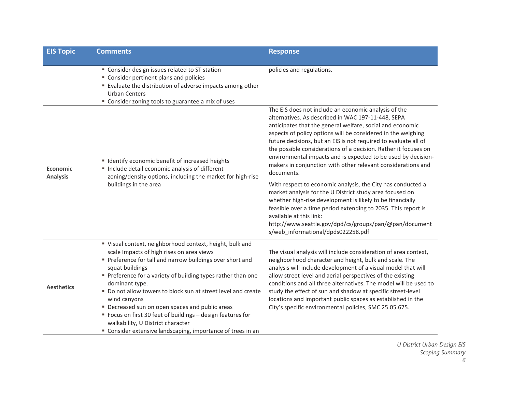| <b>EIS Topic</b>                   | <b>Comments</b>                                                                                                                                                                                                                                                                                                                                                                                                                                                                                                                                                            | <b>Response</b>                                                                                                                                                                                                                                                                                                                                                                                                                                                                                                              |  |
|------------------------------------|----------------------------------------------------------------------------------------------------------------------------------------------------------------------------------------------------------------------------------------------------------------------------------------------------------------------------------------------------------------------------------------------------------------------------------------------------------------------------------------------------------------------------------------------------------------------------|------------------------------------------------------------------------------------------------------------------------------------------------------------------------------------------------------------------------------------------------------------------------------------------------------------------------------------------------------------------------------------------------------------------------------------------------------------------------------------------------------------------------------|--|
|                                    | " Consider design issues related to ST station<br>" Consider pertinent plans and policies<br>" Evaluate the distribution of adverse impacts among other<br><b>Urban Centers</b><br>" Consider zoning tools to guarantee a mix of uses                                                                                                                                                                                                                                                                                                                                      | policies and regulations.                                                                                                                                                                                                                                                                                                                                                                                                                                                                                                    |  |
| <b>Economic</b><br><b>Analysis</b> | " Identify economic benefit of increased heights<br>Include detail economic analysis of different<br>zoning/density options, including the market for high-rise<br>buildings in the area                                                                                                                                                                                                                                                                                                                                                                                   | The EIS does not include an economic analysis of the<br>alternatives. As described in WAC 197-11-448, SEPA<br>anticipates that the general welfare, social and economic<br>aspects of policy options will be considered in the weighing<br>future decisions, but an EIS is not required to evaluate all of<br>the possible considerations of a decision. Rather it focuses on<br>environmental impacts and is expected to be used by decision-<br>makers in conjunction with other relevant considerations and<br>documents. |  |
|                                    |                                                                                                                                                                                                                                                                                                                                                                                                                                                                                                                                                                            | With respect to economic analysis, the City has conducted a<br>market analysis for the U District study area focused on<br>whether high-rise development is likely to be financially<br>feasible over a time period extending to 2035. This report is<br>available at this link:<br>http://www.seattle.gov/dpd/cs/groups/pan/@pan/document<br>s/web_informational/dpds022258.pdf                                                                                                                                             |  |
| <b>Aesthetics</b>                  | " Visual context, neighborhood context, height, bulk and<br>scale Impacts of high rises on area views<br>Preference for tall and narrow buildings over short and<br>squat buildings<br>Preference for a variety of building types rather than one<br>dominant type.<br>" Do not allow towers to block sun at street level and create<br>wind canyons<br>" Decreased sun on open spaces and public areas<br>" Focus on first 30 feet of buildings - design features for<br>walkability, U District character<br>" Consider extensive landscaping, importance of trees in an | The visual analysis will include consideration of area context,<br>neighborhood character and height, bulk and scale. The<br>analysis will include development of a visual model that will<br>allow street level and aerial perspectives of the existing<br>conditions and all three alternatives. The model will be used to<br>study the effect of sun and shadow at specific street-level<br>locations and important public spaces as established in the<br>City's specific environmental policies, SMC 25.05.675.         |  |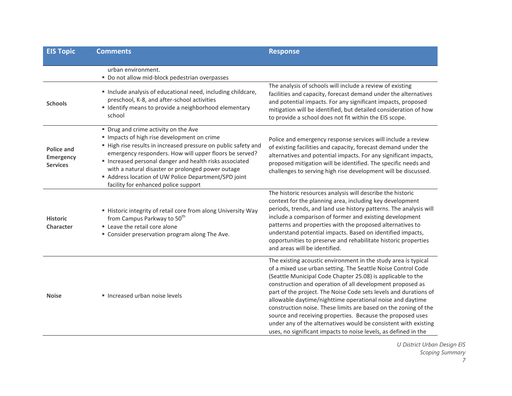| <b>EIS Topic</b>                                  | <b>Comments</b>                                                                                                                                                                                                                                                                                                                                                                                                             | <b>Response</b>                                                                                                                                                                                                                                                                                                                                                                                                                                                                                                                                                                                                                                                    |
|---------------------------------------------------|-----------------------------------------------------------------------------------------------------------------------------------------------------------------------------------------------------------------------------------------------------------------------------------------------------------------------------------------------------------------------------------------------------------------------------|--------------------------------------------------------------------------------------------------------------------------------------------------------------------------------------------------------------------------------------------------------------------------------------------------------------------------------------------------------------------------------------------------------------------------------------------------------------------------------------------------------------------------------------------------------------------------------------------------------------------------------------------------------------------|
|                                                   | urban environment.<br>" Do not allow mid-block pedestrian overpasses                                                                                                                                                                                                                                                                                                                                                        |                                                                                                                                                                                                                                                                                                                                                                                                                                                                                                                                                                                                                                                                    |
| <b>Schools</b>                                    | " Include analysis of educational need, including childcare,<br>preschool, K-8, and after-school activities<br>" Identify means to provide a neighborhood elementary<br>school                                                                                                                                                                                                                                              | The analysis of schools will include a review of existing<br>facilities and capacity, forecast demand under the alternatives<br>and potential impacts. For any significant impacts, proposed<br>mitigation will be identified, but detailed consideration of how<br>to provide a school does not fit within the EIS scope.                                                                                                                                                                                                                                                                                                                                         |
| <b>Police and</b><br>Emergency<br><b>Services</b> | " Drug and crime activity on the Ave<br>" Impacts of high rise development on crime<br>" High rise results in increased pressure on public safety and<br>emergency responders. How will upper floors be served?<br>Increased personal danger and health risks associated<br>with a natural disaster or prolonged power outage<br>Address location of UW Police Department/SPD joint<br>facility for enhanced police support | Police and emergency response services will include a review<br>of existing facilities and capacity, forecast demand under the<br>alternatives and potential impacts. For any significant impacts,<br>proposed mitigation will be identified. The specific needs and<br>challenges to serving high rise development will be discussed.                                                                                                                                                                                                                                                                                                                             |
| <b>Historic</b><br><b>Character</b>               | " Historic integrity of retail core from along University Way<br>from Campus Parkway to 50 <sup>th</sup><br>Leave the retail core alone<br>" Consider preservation program along The Ave.                                                                                                                                                                                                                                   | The historic resources analysis will describe the historic<br>context for the planning area, including key development<br>periods, trends, and land use history patterns. The analysis will<br>include a comparison of former and existing development<br>patterns and properties with the proposed alternatives to<br>understand potential impacts. Based on identified impacts,<br>opportunities to preserve and rehabilitate historic properties<br>and areas will be identified.                                                                                                                                                                               |
| <b>Noise</b>                                      | Increased urban noise levels                                                                                                                                                                                                                                                                                                                                                                                                | The existing acoustic environment in the study area is typical<br>of a mixed use urban setting. The Seattle Noise Control Code<br>(Seattle Municipal Code Chapter 25.08) is applicable to the<br>construction and operation of all development proposed as<br>part of the project. The Noise Code sets levels and durations of<br>allowable daytime/nighttime operational noise and daytime<br>construction noise. These limits are based on the zoning of the<br>source and receiving properties. Because the proposed uses<br>under any of the alternatives would be consistent with existing<br>uses, no significant impacts to noise levels, as defined in the |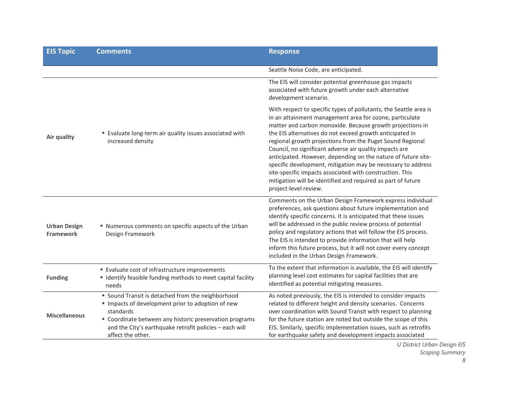| <b>EIS Topic</b>                 | <b>Comments</b>                                                                                                                                                                                                                                              | <b>Response</b>                                                                                                                                                                                                                                                                                                                                                                                                                                                                                                                                                                                                                                                     |  |
|----------------------------------|--------------------------------------------------------------------------------------------------------------------------------------------------------------------------------------------------------------------------------------------------------------|---------------------------------------------------------------------------------------------------------------------------------------------------------------------------------------------------------------------------------------------------------------------------------------------------------------------------------------------------------------------------------------------------------------------------------------------------------------------------------------------------------------------------------------------------------------------------------------------------------------------------------------------------------------------|--|
|                                  |                                                                                                                                                                                                                                                              | Seattle Noise Code, are anticipated.                                                                                                                                                                                                                                                                                                                                                                                                                                                                                                                                                                                                                                |  |
| Air quality                      | " Evaluate long-term air quality issues associated with<br>increased density                                                                                                                                                                                 | The EIS will consider potential greenhouse gas impacts<br>associated with future growth under each alternative<br>development scenario.                                                                                                                                                                                                                                                                                                                                                                                                                                                                                                                             |  |
|                                  |                                                                                                                                                                                                                                                              | With respect to specific types of pollutants, the Seattle area is<br>in an attainment management area for ozone, particulate<br>matter and carbon monoxide. Because growth projections in<br>the EIS alternatives do not exceed growth anticipated in<br>regional growth projections from the Puget Sound Regional<br>Council, no significant adverse air quality impacts are<br>anticipated. However, depending on the nature of future site-<br>specific development, mitigation may be necessary to address<br>site-specific impacts associated with construction. This<br>mitigation will be identified and required as part of future<br>project-level review. |  |
| <b>Urban Design</b><br>Framework | " Numerous comments on specific aspects of the Urban<br>Design Framework                                                                                                                                                                                     | Comments on the Urban Design Framework express individual<br>preferences, ask questions about future implementation and<br>identify specific concerns. It is anticipated that these issues<br>will be addressed in the public review process of potential<br>policy and regulatory actions that will follow the EIS process.<br>The EIS is intended to provide information that will help<br>inform this future process, but it will not cover every concept<br>included in the Urban Design Framework.                                                                                                                                                             |  |
| <b>Funding</b>                   | " Evaluate cost of infrastructure improvements<br>" Identify feasible funding methods to meet capital facility<br>needs                                                                                                                                      | To the extent that information is available, the EIS will identify<br>planning level cost estimates for capital facilities that are<br>identified as potential mitigating measures.                                                                                                                                                                                                                                                                                                                                                                                                                                                                                 |  |
| <b>Miscellaneous</b>             | " Sound Transit is detached from the neighborhood<br>Impacts of development prior to adoption of new<br>standards<br>" Coordinate between any historic preservation programs<br>and the City's earthquake retrofit policies - each will<br>affect the other. | As noted previously, the EIS is intended to consider impacts<br>related to different height and density scenarios. Concerns<br>over coordination with Sound Transit with respect to planning<br>for the future station are noted but outside the scope of this<br>EIS. Similarly, specific implementation issues, such as retrofits<br>for earthquake safety and development impacts associated                                                                                                                                                                                                                                                                     |  |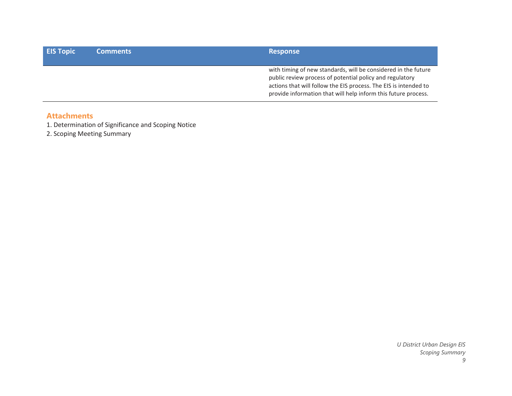| <b>EIS Topic</b> | <b>Comments</b> | <b>Response</b>                                                                                                                                                                                                                                                  |
|------------------|-----------------|------------------------------------------------------------------------------------------------------------------------------------------------------------------------------------------------------------------------------------------------------------------|
|                  |                 | with timing of new standards, will be considered in the future<br>public review process of potential policy and regulatory<br>actions that will follow the EIS process. The EIS is intended to<br>provide information that will help inform this future process. |

# **Attachments**

1. Determination of Significance and Scoping Notice

2. Scoping Meeting Summary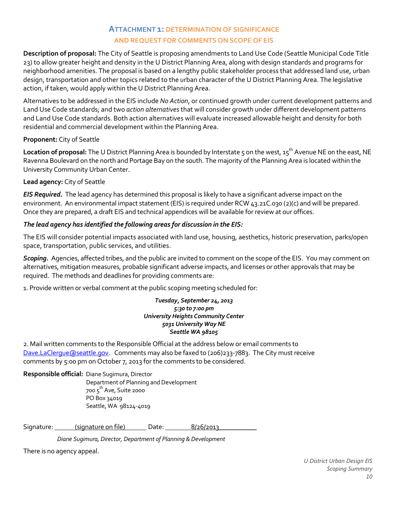# **ATTACHMENT 1: DETERMINATION OF SIGNIFICANCE AND REQUEST FOR COMMENTS ON SCOPE OF EIS**

**Description of proposal:** The City of Seattle is proposing amendments to Land Use Code (Seattle Municipal Code Title 23) to allow greater height and density in the U District Planning Area, along with design standards and programs for neighborhood amenities. The proposal is based on a lengthy public stakeholder process that addressed land use, urban design, transportation and other topics related to the urban character of the U District Planning Area. The legislative action, if taken, would apply within the U District Planning Area.

Alternatives to be addressed in the EIS include *No Action*, or continued growth under current development patterns and Land Use Code standards; and two *action alternatives*that will consider growth under different development patterns and Land Use Code standards. Both action alternatives will evaluate increased allowable height and density for both residential and commercial development within the Planning Area.

# **Proponent:** City of Seattle

Location of proposal: The U District Planning Area is bounded by Interstate 5 on the west, 15<sup>th</sup> Avenue NE on the east, NE Ravenna Boulevard on the north and Portage Bay on the south. The majority of the Planning Area is located within the University Community Urban Center.

# **Lead agency:** City of Seattle

*EIS Required.* The lead agency has determined this proposal is likely to have a significant adverse impact on the environment. An environmental impact statement (EIS) is required under RCW 43.21C.030 (2)(c) and will be prepared. Once they are prepared, a draft EIS and technical appendices will be available for review at our offices.

# *The lead agency has identified the following areas for discussion in the EIS:*

The EIS will consider potential impacts associated with land use, housing, aesthetics, historic preservation, parks/open space, transportation, public services, and utilities.

*Scoping.* Agencies, affected tribes, and the public are invited to comment on the scope of the EIS. You may comment on alternatives, mitigation measures, probable significant adverse impacts, and licenses or other approvals that may be required. The methods and deadlines for providing comments are:

1. Provide written or verbal comment at the public scoping meeting scheduled for:

*Tuesday, September 24, 2013 5:30 to 7:00 pm University Heights Community Center 5031 University Way NE Seattle WA 98105*

2. Mail written comments to the Responsible Official at the address below or email comments to [Dave.LaClergue@seattle.gov.](mailto:Dave.LaClergue@seattle.gov) Comments may also be faxed to (206)233-7883. The City must receive comments by 5:00 pm on October 7, 2013 for the comments to be considered.

**Responsible official:** Diane Sugimura, Director

 Department of Planning and Development 700 5 th Ave, Suite 2000 PO Box 34019 Seattle, WA 98124-4019

Signature: (signature on file) Date: 8/26/2013

 *Diane Sugimura, Director, Department of Planning & Development*

There is no agency appeal.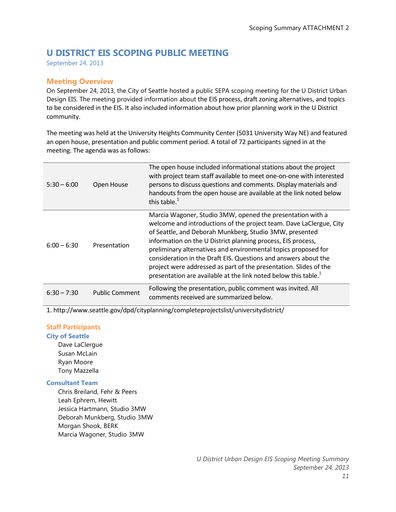# **U DISTRICT EIS SCOPING PUBLIC MEETING**

September 24, 2013

# **Meeting Overview**

On September 24, 2013, the City of Seattle hosted a public SEPA scoping meeting for the U District Urban Design EIS. The meeting provided information about the EIS process, draft zoning alternatives, and topics to be considered in the EIS. It also included information about how prior planning work in the U District community.

The meeting was held at the University Heights Community Center (5031 University Way NE) and featured an open house, presentation and public comment period. A total of 72 participants signed in at the meeting. The agenda was as follows:

| $5:30 - 6:00$ | Open House            | The open house included informational stations about the project<br>with project team staff available to meet one-on-one with interested<br>persons to discuss questions and comments. Display materials and<br>handouts from the open house are available at the link noted below<br>this table. $1$                                                                                                                                                                                                                                                 |
|---------------|-----------------------|-------------------------------------------------------------------------------------------------------------------------------------------------------------------------------------------------------------------------------------------------------------------------------------------------------------------------------------------------------------------------------------------------------------------------------------------------------------------------------------------------------------------------------------------------------|
| $6:00 - 6:30$ | Presentation          | Marcia Wagoner, Studio 3MW, opened the presentation with a<br>welcome and introductions of the project team. Dave LaClergue, City<br>of Seattle, and Deborah Munkberg, Studio 3MW, presented<br>information on the U District planning process, EIS process,<br>preliminary alternatives and environmental topics proposed for<br>consideration in the Draft EIS. Questions and answers about the<br>project were addressed as part of the presentation. Slides of the<br>presentation are available at the link noted below this table. <sup>1</sup> |
| $6:30 - 7:30$ | <b>Public Comment</b> | Following the presentation, public comment was invited. All<br>comments received are summarized below.                                                                                                                                                                                                                                                                                                                                                                                                                                                |

1. http://www.seattle.gov/dpd/cityplanning/completeprojectslist/universitydistrict/

# **Staff Participants**

**City of Seattle** Dave LaClergue Susan McLain Ryan Moore Tony Mazzella

## **Consultant Team**

Chris Breiland, Fehr & Peers Leah Ephrem, Hewitt Jessica Hartmann, Studio 3MW Deborah Munkberg, Studio 3MW Morgan Shook, BERK Marcia Wagoner, Studio 3MW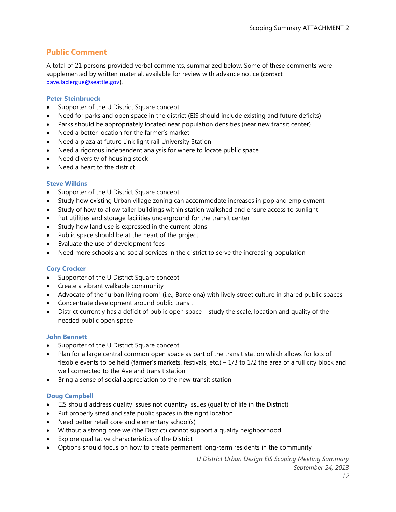# **Public Comment**

A total of 21 persons provided verbal comments, summarized below. Some of these comments were supplemented by written material, available for review with advance notice (contact [dave.laclergue@seattle.gov\)](mailto:dave.laclergue@seattle.gov).

#### **Peter Steinbrueck**

- Supporter of the U District Square concept
- Need for parks and open space in the district (EIS should include existing and future deficits)
- Parks should be appropriately located near population densities (near new transit center)
- Need a better location for the farmer's market
- Need a plaza at future Link light rail University Station
- Need a rigorous independent analysis for where to locate public space
- Need diversity of housing stock
- Need a heart to the district

#### **Steve Wilkins**

- Supporter of the U District Square concept
- Study how existing Urban village zoning can accommodate increases in pop and employment
- Study of how to allow taller buildings within station walkshed and ensure access to sunlight
- Put utilities and storage facilities underground for the transit center
- Study how land use is expressed in the current plans
- Public space should be at the heart of the project
- Evaluate the use of development fees
- Need more schools and social services in the district to serve the increasing population

## **Cory Crocker**

- Supporter of the U District Square concept
- Create a vibrant walkable community
- Advocate of the "urban living room" (i.e., Barcelona) with lively street culture in shared public spaces
- Concentrate development around public transit
- District currently has a deficit of public open space study the scale, location and quality of the needed public open space

#### **John Bennett**

- Supporter of the U District Square concept
- Plan for a large central common open space as part of the transit station which allows for lots of flexible events to be held (farmer's markets, festivals, etc.) – 1/3 to 1/2 the area of a full city block and well connected to the Ave and transit station
- Bring a sense of social appreciation to the new transit station

#### **Doug Campbell**

- EIS should address quality issues not quantity issues (quality of life in the District)
- Put properly sized and safe public spaces in the right location
- Need better retail core and elementary school(s)
- Without a strong core we (the District) cannot support a quality neighborhood
- Explore qualitative characteristics of the District
- Options should focus on how to create permanent long-term residents in the community

*U District Urban Design EIS Scoping Meeting Summary September 24, 2013*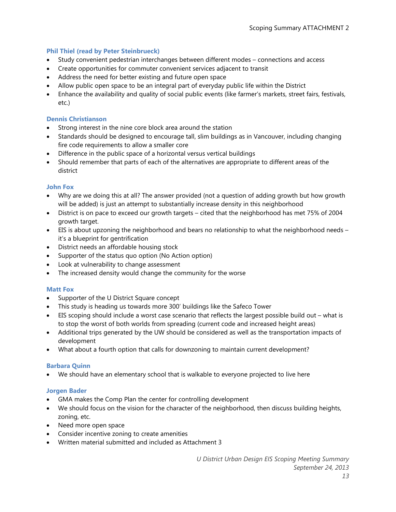# **Phil Thiel (read by Peter Steinbrueck)**

- Study convenient pedestrian interchanges between different modes connections and access
- Create opportunities for commuter convenient services adjacent to transit
- Address the need for better existing and future open space
- Allow public open space to be an integral part of everyday public life within the District
- Enhance the availability and quality of social public events (like farmer's markets, street fairs, festivals, etc.)

## **Dennis Christianson**

- Strong interest in the nine core block area around the station
- Standards should be designed to encourage tall, slim buildings as in Vancouver, including changing fire code requirements to allow a smaller core
- Difference in the public space of a horizontal versus vertical buildings
- Should remember that parts of each of the alternatives are appropriate to different areas of the district

## **John Fox**

- Why are we doing this at all? The answer provided (not a question of adding growth but how growth will be added) is just an attempt to substantially increase density in this neighborhood
- District is on pace to exceed our growth targets cited that the neighborhood has met 75% of 2004 growth target.
- EIS is about upzoning the neighborhood and bears no relationship to what the neighborhood needs it's a blueprint for gentrification
- District needs an affordable housing stock
- Supporter of the status quo option (No Action option)
- Look at vulnerability to change assessment
- The increased density would change the community for the worse

## **Matt Fox**

- Supporter of the U District Square concept
- This study is heading us towards more 300' buildings like the Safeco Tower
- EIS scoping should include a worst case scenario that reflects the largest possible build out what is to stop the worst of both worlds from spreading (current code and increased height areas)
- Additional trips generated by the UW should be considered as well as the transportation impacts of development
- What about a fourth option that calls for downzoning to maintain current development?

## **Barbara Quinn**

• We should have an elementary school that is walkable to everyone projected to live here

# **Jorgen Bader**

- GMA makes the Comp Plan the center for controlling development
- We should focus on the vision for the character of the neighborhood, then discuss building heights, zoning, etc.
- Need more open space
- Consider incentive zoning to create amenities
- Written material submitted and included as Attachment 3

*U District Urban Design EIS Scoping Meeting Summary September 24, 2013*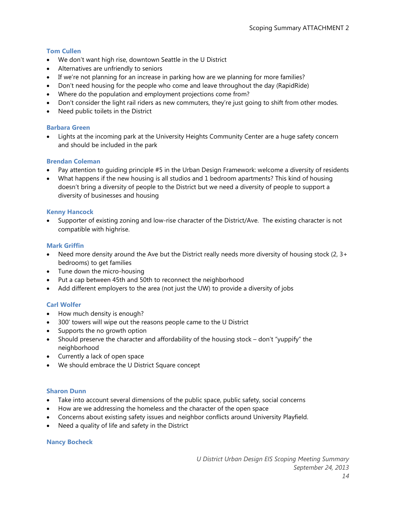## **Tom Cullen**

- We don't want high rise, downtown Seattle in the U District
- Alternatives are unfriendly to seniors
- If we're not planning for an increase in parking how are we planning for more families?
- Don't need housing for the people who come and leave throughout the day (RapidRide)
- Where do the population and employment projections come from?
- Don't consider the light rail riders as new commuters, they're just going to shift from other modes.
- Need public toilets in the District

## **Barbara Green**

• Lights at the incoming park at the University Heights Community Center are a huge safety concern and should be included in the park

## **Brendan Coleman**

- Pay attention to guiding principle #5 in the Urban Design Framework: welcome a diversity of residents
- What happens if the new housing is all studios and 1 bedroom apartments? This kind of housing doesn't bring a diversity of people to the District but we need a diversity of people to support a diversity of businesses and housing

## **Kenny Hancock**

Supporter of existing zoning and low-rise character of the District/Ave. The existing character is not compatible with highrise.

## **Mark Griffin**

- Need more density around the Ave but the District really needs more diversity of housing stock  $(2, 3+)$ bedrooms) to get families
- Tune down the micro-housing
- Put a cap between 45th and 50th to reconnect the neighborhood
- Add different employers to the area (not just the UW) to provide a diversity of jobs

# **Carl Wolfer**

- How much density is enough?
- 300' towers will wipe out the reasons people came to the U District
- Supports the no growth option
- Should preserve the character and affordability of the housing stock don't "yuppify" the neighborhood
- Currently a lack of open space
- We should embrace the U District Square concept

## **Sharon Dunn**

- Take into account several dimensions of the public space, public safety, social concerns
- How are we addressing the homeless and the character of the open space
- Concerns about existing safety issues and neighbor conflicts around University Playfield.
- Need a quality of life and safety in the District

## **Nancy Bocheck**

*U District Urban Design EIS Scoping Meeting Summary September 24, 2013*